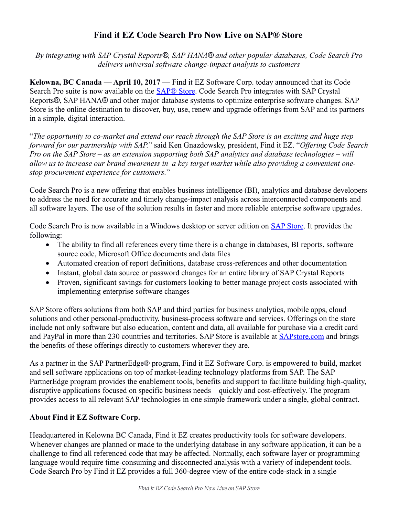## **Find it EZ Code Search Pro Now Live on SAP® Store**

*By integrating with SAP Crystal Reports®, SAP HANA® and other popular databases, Code Search Pro delivers universal software change-impact analysis to customers*

**Kelowna, BC Canada — April 10, 2017 —** Find it EZ Software Corp. today announced that its Code Search Pro suite is now available on the **SAP® Store**. Code Search Pro integrates with SAP Crystal Reports®, SAP HANA® and other major database systems to optimize enterprise software changes. SAP Store is the online destination to discover, buy, use, renew and upgrade offerings from SAP and its partners in a simple, digital interaction.

"*The opportunity to co-market and extend our reach through the SAP Store is an exciting and huge step forward for our partnership with SAP.*" said Ken Gnazdowsky, president, Find it EZ. "*Offering Code Search Pro on the SAP Store – as an extension supporting both SAP analytics and database technologies – will allow us to increase our brand awareness in a key target market while also providing a convenient onestop procurement experience for customers.*"

Code Search Pro is a new offering that enables business intelligence (BI), analytics and database developers to address the need for accurate and timely change-impact analysis across interconnected components and all software layers. The use of the solution results in faster and more reliable enterprise software upgrades.

Code Search Pro is now available in a Windows desktop or server edition on [SAP Store.](https://www.sapstore.com/solutions/30018/Code-Search-Pro) It provides the following:

- The ability to find all references every time there is a change in databases, BI reports, software source code, Microsoft Office documents and data files
- Automated creation of report definitions, database cross-references and other documentation
- Instant, global data source or password changes for an entire library of SAP Crystal Reports
- Proven, significant savings for customers looking to better manage project costs associated with implementing enterprise software changes

SAP Store offers solutions from both SAP and third parties for business analytics, mobile apps, cloud solutions and other personal-productivity, business-process software and services. Offerings on the store include not only software but also education, content and data, all available for purchase via a credit card and PayPal in more than 230 countries and territories. SAP Store is available at [SAPstore.com](http://www.sapstore.com/) and brings the benefits of these offerings directly to customers wherever they are.

As a partner in the SAP PartnerEdge® program, Find it EZ Software Corp. is empowered to build, market and sell software applications on top of market-leading technology platforms from SAP. The SAP PartnerEdge program provides the enablement tools, benefits and support to facilitate building high-quality, disruptive applications focused on specific business needs – quickly and cost-effectively. The program provides access to all relevant SAP technologies in one simple framework under a single, global contract.

## **About Find it EZ Software Corp.**

Headquartered in Kelowna BC Canada, Find it EZ creates productivity tools for software developers. Whenever changes are planned or made to the underlying database in any software application, it can be a challenge to find all referenced code that may be affected. Normally, each software layer or programming language would require time-consuming and disconnected analysis with a variety of independent tools. Code Search Pro by Find it EZ provides a full 360-degree view of the entire code-stack in a single